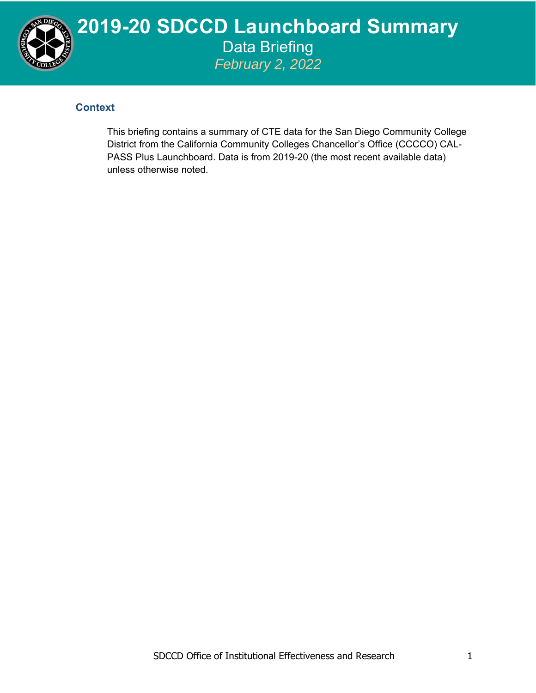

## **2019-20 SDCCD Launchboard Summary**  Data Briefing *February 2, 2022*

## **Context**

This briefing contains a summary of CTE data for the San Diego Community College District from the California Community Colleges Chancellor's Office (CCCCO) CAL-PASS Plus Launchboard. Data is from 2019-20 (the most recent available data) unless otherwise noted.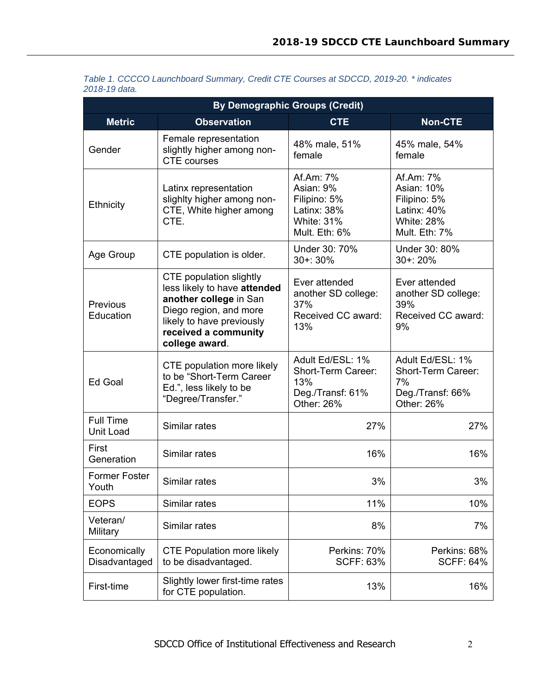| <b>By Demographic Groups (Credit)</b> |                                                                                                                                                                                           |                                                                                             |                                                                                              |  |  |
|---------------------------------------|-------------------------------------------------------------------------------------------------------------------------------------------------------------------------------------------|---------------------------------------------------------------------------------------------|----------------------------------------------------------------------------------------------|--|--|
| <b>Metric</b>                         | <b>Observation</b>                                                                                                                                                                        | <b>CTE</b>                                                                                  | <b>Non-CTE</b>                                                                               |  |  |
| Gender                                | Female representation<br>slightly higher among non-<br><b>CTE</b> courses                                                                                                                 | 48% male, 51%<br>female                                                                     | 45% male, 54%<br>female                                                                      |  |  |
| Ethnicity                             | Latinx representation<br>slighlty higher among non-<br>CTE, White higher among<br>CTE.                                                                                                    | Af.Am: 7%<br>Asian: 9%<br>Filipino: 5%<br>Latinx: 38%<br><b>White: 31%</b><br>Mult. Eth: 6% | Af.Am: 7%<br>Asian: 10%<br>Filipino: 5%<br>Latinx: 40%<br><b>White: 28%</b><br>Mult. Eth: 7% |  |  |
| Age Group                             | CTE population is older.                                                                                                                                                                  | Under 30: 70%<br>$30 + 30%$                                                                 | Under 30: 80%<br>$30 + 20%$                                                                  |  |  |
| Previous<br>Education                 | <b>CTE</b> population slightly<br>less likely to have attended<br>another college in San<br>Diego region, and more<br>likely to have previously<br>received a community<br>college award. | Ever attended<br>another SD college:<br>37%<br>Received CC award:<br>13%                    | Ever attended<br>another SD college:<br>39%<br>Received CC award:<br>9%                      |  |  |
| Ed Goal                               | CTE population more likely<br>to be "Short-Term Career<br>Ed.", less likely to be<br>"Degree/Transfer."                                                                                   | Adult Ed/ESL: 1%<br>Short-Term Career:<br>13%<br>Deg./Transf: 61%<br>Other: 26%             | Adult Ed/ESL: 1%<br>Short-Term Career:<br>7%<br>Deg./Transf: 66%<br>Other: 26%               |  |  |
| <b>Full Time</b><br><b>Unit Load</b>  | Similar rates                                                                                                                                                                             | 27%                                                                                         | 27%                                                                                          |  |  |
| First<br>Generation                   | Similar rates                                                                                                                                                                             | 16%                                                                                         | 16%                                                                                          |  |  |
| <b>Former Foster</b><br>Youth         | Similar rates                                                                                                                                                                             | 3%                                                                                          | 3%                                                                                           |  |  |
| <b>EOPS</b>                           | Similar rates                                                                                                                                                                             | 11%                                                                                         | 10%                                                                                          |  |  |
| Veteran/<br>Military                  | Similar rates                                                                                                                                                                             | 8%                                                                                          | 7%                                                                                           |  |  |
| Economically<br>Disadvantaged         | <b>CTE Population more likely</b><br>to be disadvantaged.                                                                                                                                 | Perkins: 70%<br><b>SCFF: 63%</b>                                                            | Perkins: 68%<br><b>SCFF: 64%</b>                                                             |  |  |
| First-time                            | Slightly lower first-time rates<br>for CTE population.                                                                                                                                    | 13%                                                                                         | 16%                                                                                          |  |  |

| Table 1. CCCCO Launchboard Summary, Credit CTE Courses at SDCCD, 2019-20. * indicates |  |  |
|---------------------------------------------------------------------------------------|--|--|
| 2018-19 data.                                                                         |  |  |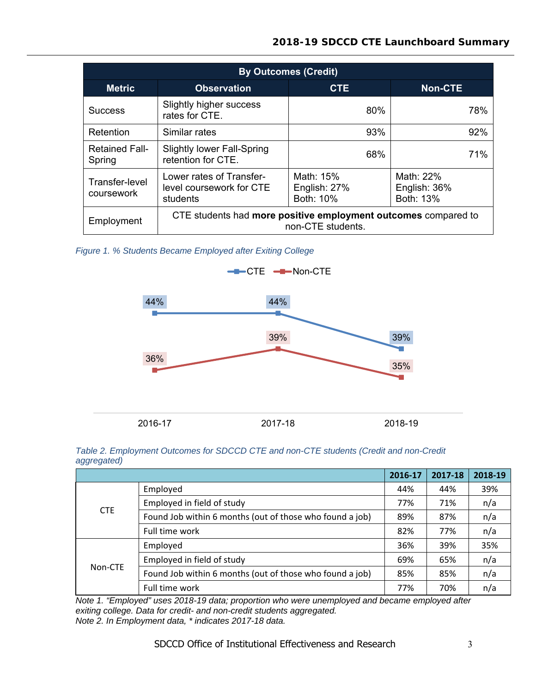## **2018-19 SDCCD CTE Launchboard Summary**

| <b>By Outcomes (Credit)</b>     |                                                                                     |                                        |                                        |  |  |
|---------------------------------|-------------------------------------------------------------------------------------|----------------------------------------|----------------------------------------|--|--|
| <b>Metric</b>                   | <b>Observation</b>                                                                  | <b>CTE</b>                             | <b>Non-CTE</b>                         |  |  |
| <b>Success</b>                  | Slightly higher success<br>rates for CTE.                                           | 80%                                    | 78%                                    |  |  |
| Retention                       | Similar rates                                                                       | 93%                                    | 92%                                    |  |  |
| <b>Retained Fall-</b><br>Spring | <b>Slightly lower Fall-Spring</b><br>retention for CTE.                             | 68%                                    | 71%                                    |  |  |
| Transfer-level<br>coursework    | Lower rates of Transfer-<br>level coursework for CTE<br>students                    | Math: 15%<br>English: 27%<br>Both: 10% | Math: 22%<br>English: 36%<br>Both: 13% |  |  |
| Employment                      | CTE students had more positive employment outcomes compared to<br>non-CTE students. |                                        |                                        |  |  |

*Figure 1. % Students Became Employed after Exiting College* 



|             | Table 2. Employment Outcomes for SDCCD CTE and non-CTE students (Credit and non-Credit |  |  |  |
|-------------|----------------------------------------------------------------------------------------|--|--|--|
| aggregated) |                                                                                        |  |  |  |

|            |                                                          | 2016-17 | 2017-18 | 2018-19 |
|------------|----------------------------------------------------------|---------|---------|---------|
|            | Employed                                                 | 44%     | 44%     | 39%     |
|            | Employed in field of study                               | 77%     | 71%     | n/a     |
| <b>CTE</b> | Found Job within 6 months (out of those who found a job) | 89%     | 87%     | n/a     |
|            | Full time work                                           | 82%     | 77%     | n/a     |
|            | Employed                                                 | 36%     | 39%     | 35%     |
| Non-CTE    | Employed in field of study                               | 69%     | 65%     | n/a     |
|            | Found Job within 6 months (out of those who found a job) | 85%     | 85%     | n/a     |
|            | Full time work                                           | 77%     | 70%     | n/a     |

*Note 1. "Employed" uses 2018-19 data; proportion who were unemployed and became employed after exiting college. Data for credit- and non-credit students aggregated. Note 2. In Employment data, \* indicates 2017-18 data.*